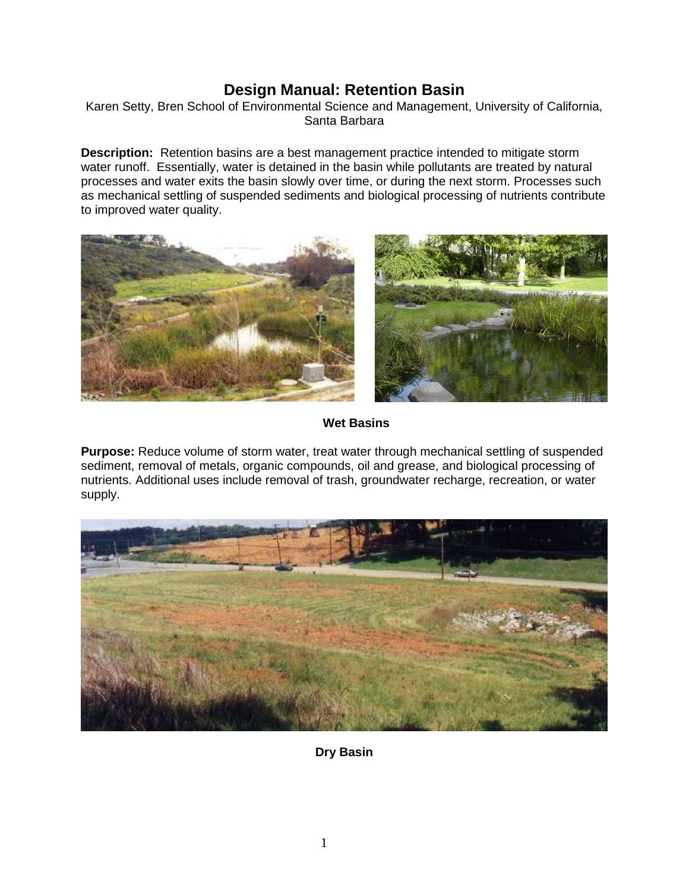# **Design Manual: Retention Basin**

Karen Setty, Bren School of Environmental Science and Management, University of California, Santa Barbara

**Description:** Retention basins are a best management practice intended to mitigate storm water runoff. Essentially, water is detained in the basin while pollutants are treated by natural processes and water exits the basin slowly over time, or during the next storm. Processes such as mechanical settling of suspended sediments and biological processing of nutrients contribute to improved water quality.





 **Wet Basins** 

**Purpose:** Reduce volume of storm water, treat water through mechanical settling of suspended sediment, removal of metals, organic compounds, oil and grease, and biological processing of nutrients. Additional uses include removal of trash, groundwater recharge, recreation, or water supply.



**Dry Basin**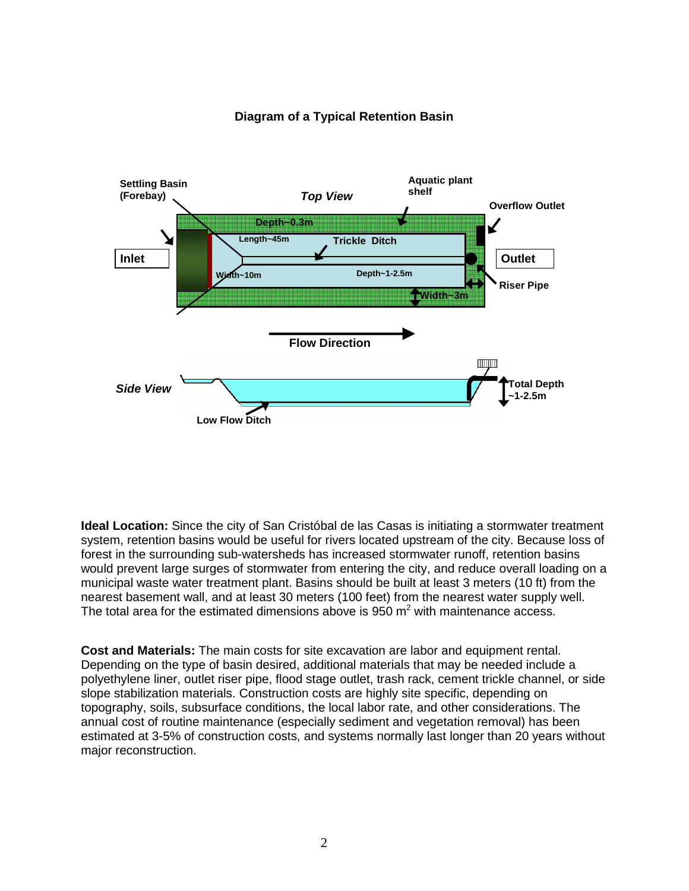

## **Diagram of a Typical Retention Basin**

**Ideal Location:** Since the city of San Cristóbal de las Casas is initiating a stormwater treatment system, retention basins would be useful for rivers located upstream of the city. Because loss of forest in the surrounding sub-watersheds has increased stormwater runoff, retention basins would prevent large surges of stormwater from entering the city, and reduce overall loading on a municipal waste water treatment plant. Basins should be built at least 3 meters (10 ft) from the nearest basement wall, and at least 30 meters (100 feet) from the nearest water supply well. The total area for the estimated dimensions above is 950  $m^2$  with maintenance access.

**Cost and Materials:** The main costs for site excavation are labor and equipment rental. Depending on the type of basin desired, additional materials that may be needed include a polyethylene liner, outlet riser pipe, flood stage outlet, trash rack, cement trickle channel, or side slope stabilization materials. Construction costs are highly site specific, depending on topography, soils, subsurface conditions, the local labor rate, and other considerations. The annual cost of routine maintenance (especially sediment and vegetation removal) has been estimated at 3-5% of construction costs, and systems normally last longer than 20 years without major reconstruction.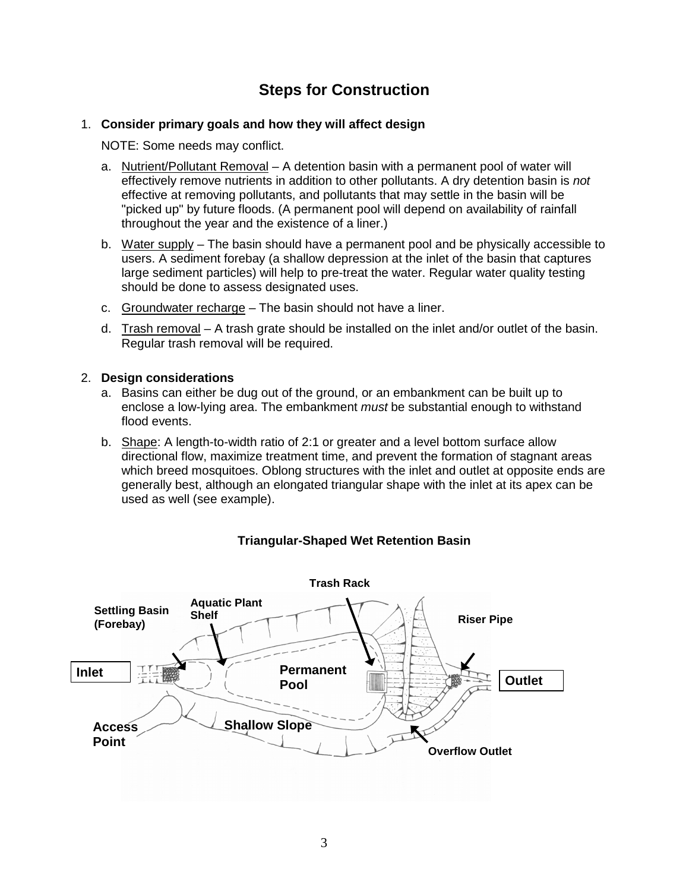# **Steps for Construction**

#### 1. **Consider primary goals and how they will affect design**

NOTE: Some needs may conflict.

- a. Nutrient/Pollutant Removal A detention basin with a permanent pool of water will effectively remove nutrients in addition to other pollutants. A dry detention basin is not effective at removing pollutants, and pollutants that may settle in the basin will be "picked up" by future floods. (A permanent pool will depend on availability of rainfall throughout the year and the existence of a liner.)
- b. Water supply The basin should have a permanent pool and be physically accessible to users. A sediment forebay (a shallow depression at the inlet of the basin that captures large sediment particles) will help to pre-treat the water. Regular water quality testing should be done to assess designated uses.
- c. Groundwater recharge The basin should not have a liner.
- d. Trash removal A trash grate should be installed on the inlet and/or outlet of the basin. Regular trash removal will be required.

#### 2. **Design considerations**

- a. Basins can either be dug out of the ground, or an embankment can be built up to enclose a low-lying area. The embankment *must* be substantial enough to withstand flood events.
- b. Shape: A length-to-width ratio of 2:1 or greater and a level bottom surface allow directional flow, maximize treatment time, and prevent the formation of stagnant areas which breed mosquitoes. Oblong structures with the inlet and outlet at opposite ends are generally best, although an elongated triangular shape with the inlet at its apex can be used as well (see example).



## **Triangular-Shaped Wet Retention Basin**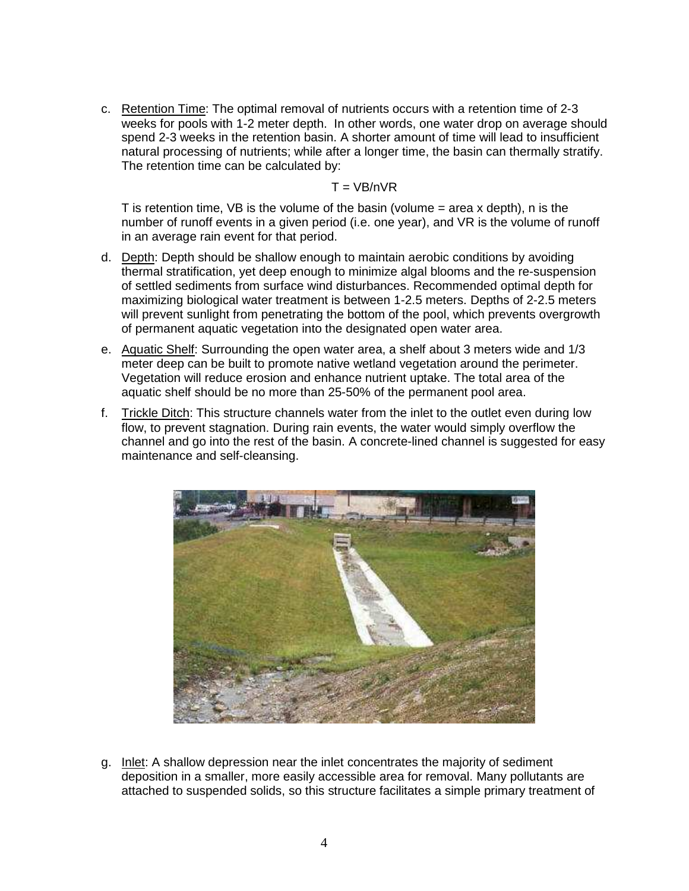c. Retention Time: The optimal removal of nutrients occurs with a retention time of 2-3 weeks for pools with 1-2 meter depth. In other words, one water drop on average should spend 2-3 weeks in the retention basin. A shorter amount of time will lead to insufficient natural processing of nutrients; while after a longer time, the basin can thermally stratify. The retention time can be calculated by:

#### $T = VB/nVR$

T is retention time, VB is the volume of the basin (volume  $=$  area x depth), n is the number of runoff events in a given period (i.e. one year), and VR is the volume of runoff in an average rain event for that period.

- d. Depth: Depth should be shallow enough to maintain aerobic conditions by avoiding thermal stratification, yet deep enough to minimize algal blooms and the re-suspension of settled sediments from surface wind disturbances. Recommended optimal depth for maximizing biological water treatment is between 1-2.5 meters. Depths of 2-2.5 meters will prevent sunlight from penetrating the bottom of the pool, which prevents overgrowth of permanent aquatic vegetation into the designated open water area.
- e. Aquatic Shelf: Surrounding the open water area, a shelf about 3 meters wide and 1/3 meter deep can be built to promote native wetland vegetation around the perimeter. Vegetation will reduce erosion and enhance nutrient uptake. The total area of the aquatic shelf should be no more than 25-50% of the permanent pool area.
- f. Trickle Ditch: This structure channels water from the inlet to the outlet even during low flow, to prevent stagnation. During rain events, the water would simply overflow the channel and go into the rest of the basin. A concrete-lined channel is suggested for easy maintenance and self-cleansing.



g. Inlet: A shallow depression near the inlet concentrates the majority of sediment deposition in a smaller, more easily accessible area for removal. Many pollutants are attached to suspended solids, so this structure facilitates a simple primary treatment of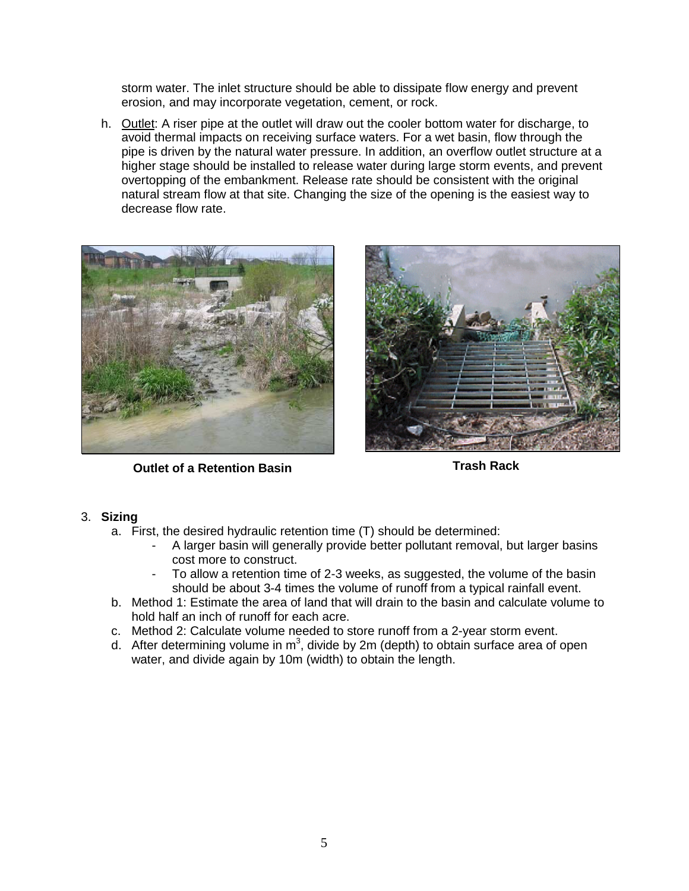storm water. The inlet structure should be able to dissipate flow energy and prevent erosion, and may incorporate vegetation, cement, or rock.

h. Outlet: A riser pipe at the outlet will draw out the cooler bottom water for discharge, to avoid thermal impacts on receiving surface waters. For a wet basin, flow through the pipe is driven by the natural water pressure. In addition, an overflow outlet structure at a higher stage should be installed to release water during large storm events, and prevent overtopping of the embankment. Release rate should be consistent with the original natural stream flow at that site. Changing the size of the opening is the easiest way to decrease flow rate.



**Outlet of a Retention Basin Contract Contract Contract Contract Contract Contract Contract Contract Contract Contract Contract Contract Contract Contract Contract Contract Contract Contract Contract Contract Contract Cont** 



#### 3. **Sizing**

- a. First, the desired hydraulic retention time (T) should be determined:
	- A larger basin will generally provide better pollutant removal, but larger basins cost more to construct.
	- To allow a retention time of 2-3 weeks, as suggested, the volume of the basin should be about 3-4 times the volume of runoff from a typical rainfall event.
- b. Method 1: Estimate the area of land that will drain to the basin and calculate volume to hold half an inch of runoff for each acre.
- c. Method 2: Calculate volume needed to store runoff from a 2-year storm event.
- d. After determining volume in  $m^3$ , divide by 2m (depth) to obtain surface area of open water, and divide again by 10m (width) to obtain the length.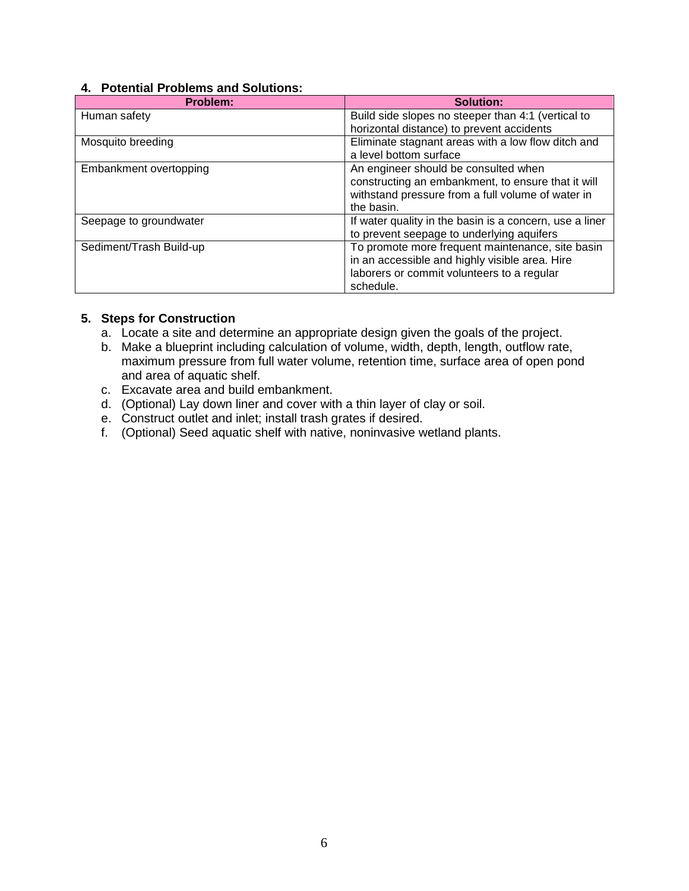#### **4. Potential Problems and Solutions:**

| Problem:                | <b>Solution:</b>                                        |  |
|-------------------------|---------------------------------------------------------|--|
| Human safety            | Build side slopes no steeper than 4:1 (vertical to      |  |
|                         | horizontal distance) to prevent accidents               |  |
| Mosquito breeding       | Eliminate stagnant areas with a low flow ditch and      |  |
|                         | a level bottom surface                                  |  |
| Embankment overtopping  | An engineer should be consulted when                    |  |
|                         | constructing an embankment, to ensure that it will      |  |
|                         | withstand pressure from a full volume of water in       |  |
|                         | the basin.                                              |  |
| Seepage to groundwater  | If water quality in the basin is a concern, use a liner |  |
|                         | to prevent seepage to underlying aquifers               |  |
| Sediment/Trash Build-up | To promote more frequent maintenance, site basin        |  |
|                         | in an accessible and highly visible area. Hire          |  |
|                         | laborers or commit volunteers to a regular              |  |
|                         | schedule.                                               |  |

#### **5. Steps for Construction**

- a. Locate a site and determine an appropriate design given the goals of the project.
- b. Make a blueprint including calculation of volume, width, depth, length, outflow rate, maximum pressure from full water volume, retention time, surface area of open pond and area of aquatic shelf.
- c. Excavate area and build embankment.
- d. (Optional) Lay down liner and cover with a thin layer of clay or soil.
- e. Construct outlet and inlet; install trash grates if desired.
- f. (Optional) Seed aquatic shelf with native, noninvasive wetland plants.